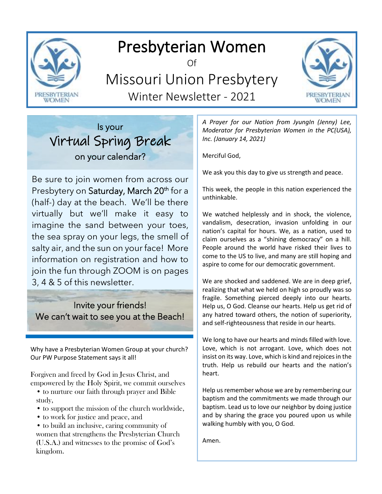

# Presbyterian Women

Of

Missouri Union Presbytery Winter Newsletter - 2021



## Is your Virtual Spring Break on your calendar?

Be sure to join women from across our Presbytery on Saturday, March 20<sup>th</sup> for a (half-) day at the beach. We'll be there virtually but we'll make it easy to imagine the sand between your toes, the sea spray on your legs, the smell of salty air, and the sun on your face! More information on registration and how to join the fun through ZOOM is on pages 3, 4 & 5 of this newsletter.

### Invite your friends! We can't wait to see you at the Beach!

Why have a Presbyterian Women Group at your church? Our PW Purpose Statement says it all!

Forgiven and freed by God in Jesus Christ, and empowered by the Holy Spirit, we commit ourselves

- to nurture our faith through prayer and Bible study,
- to support the mission of the church worldwide,
- to work for justice and peace, and
- to build an inclusive, caring community of women that strengthens the Presbyterian Church (U.S.A.) and witnesses to the promise of God's kingdom.

*A Prayer for our Nation from JyungIn (Jenny) Lee, Moderator for Presbyterian Women in the PC(USA), Inc. (January 14, 2021)*

Merciful God,

We ask you this day to give us strength and peace.

This week, the people in this nation experienced the unthinkable.

We watched helplessly and in shock, the violence, vandalism, desecration, invasion unfolding in our nation's capital for hours. We, as a nation, used to claim ourselves as a "shining democracy" on a hill. People around the world have risked their lives to come to the US to live, and many are still hoping and aspire to come for our democratic government.

We are shocked and saddened. We are in deep grief, realizing that what we held on high so proudly was so fragile. Something pierced deeply into our hearts. Help us, O God. Cleanse our hearts. Help us get rid of any hatred toward others, the notion of superiority, and self-righteousness that reside in our hearts.

We long to have our hearts and minds filled with love. Love, which is not arrogant. Love, which does not insist on its way. Love, which is kind and rejoices in the truth. Help us rebuild our hearts and the nation's heart.

Help us remember whose we are by remembering our baptism and the commitments we made through our baptism. Lead us to love our neighbor by doing justice and by sharing the grace you poured upon us while walking humbly with you, O God.

Amen.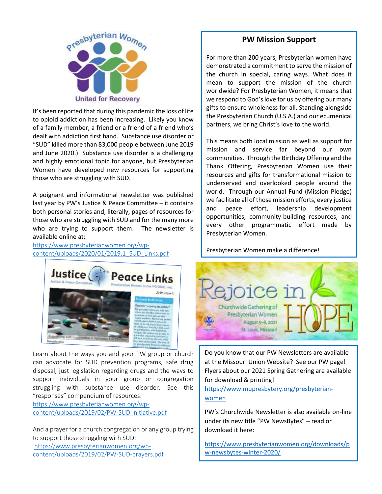

It's been reported that during this pandemic the loss of life to opioid addiction has been increasing. Likely you know of a family member, a friend or a friend of a friend who's dealt with addiction first hand. Substance use disorder or "SUD" killed more than 83,000 people between June 2019 and June 2020.) Substance use disorder is a challenging and highly emotional topic for anyone, but Presbyterian Women have developed new resources for supporting those who are struggling with SUD.

A poignant and informational newsletter was published last year by PW's Justice & Peace Committee – it contains both personal stories and, literally, pages of resources for those who are struggling with SUD and for the many more who are trying to support them. The newsletter is available online at:

[https://www.presbyterianwomen.org/wp](https://www.presbyterianwomen.org/wp-content/uploads/2020/01/2019.1_SUD_Links.pdf)[content/uploads/2020/01/2019.1\\_SUD\\_Links.pdf](https://www.presbyterianwomen.org/wp-content/uploads/2020/01/2019.1_SUD_Links.pdf)



Learn about the ways you and your PW group or church can advocate for SUD prevention programs, safe drug disposal, just legislation regarding drugs and the ways to support individuals in your group or congregation struggling with substance use disorder. See this "responses" compendium of resources:

[https://www.presbyterianwomen.org/wp](https://www.presbyterianwomen.org/wp-content/uploads/2019/02/PW-SUD-initiative.pdf)[content/uploads/2019/02/PW-SUD-initiative.pdf](https://www.presbyterianwomen.org/wp-content/uploads/2019/02/PW-SUD-initiative.pdf)

And a prayer for a church congregation or any group trying to support those struggling with SUD: [https://www.presbyterianwomen.org/wp](https://www.presbyterianwomen.org/wp-content/uploads/2019/02/PW-SUD-prayers.pdf)[content/uploads/2019/02/PW-SUD-prayers.pdf](https://www.presbyterianwomen.org/wp-content/uploads/2019/02/PW-SUD-prayers.pdf)

#### **PW Mission Support**

For more than 200 years, Presbyterian women have demonstrated a commitment to serve the mission of the church in special, caring ways. What does it mean to support the mission of the church worldwide? For Presbyterian Women, it means that we respond to God's love for us by offering our many gifts to ensure wholeness for all. Standing alongside the Presbyterian Church (U.S.A.) and our ecumenical partners, we bring Christ's love to the world.

This means both local mission as well as support for mission and service far beyond our own communities. Through the Birthday Offering and the Thank Offering, Presbyterian Women use their resources and gifts for transformational mission to underserved and overlooked people around the world. Through our Annual Fund (Mission Pledge) we facilitate all of those mission efforts, every justice and peace effort, leadership development opportunities, community-building resources, and every other programmatic effort made by Presbyterian Women.

Presbyterian Women make a difference!



Do you know that our PW Newsletters are available at the Missouri Union Website? See our PW page! Flyers about our 2021 Spring Gathering are available for download & printing!

[https://www.mupresbytery.org/presbyterian](https://www.mupresbytery.org/presbyterian-women)[women](https://www.mupresbytery.org/presbyterian-women)

PW's Churchwide Newsletter is also available on-line under its new title "PW NewsBytes" – read or download it here:

[https://www.presbyterianwomen.org/downloads/p](https://www.presbyterianwomen.org/downloads/pw-newsbytes-winter-2020/) [w-newsbytes-winter-2020/](https://www.presbyterianwomen.org/downloads/pw-newsbytes-winter-2020/)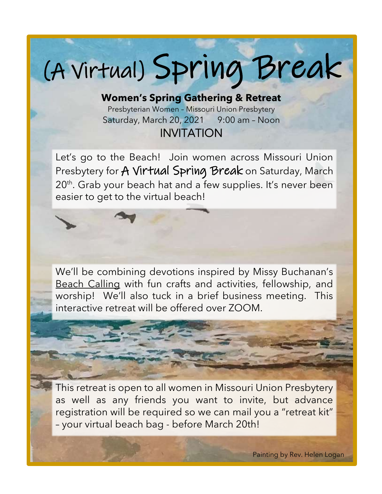# (A Virtual) Spring Break

**Women's Spring Gathering & Retreat** Presbyterian Women – Missouri Union Presbytery Saturday, March 20, 2021 9:00 am - Noon INVITATION

Let's go to the Beach! Join women across Missouri Union Presbytery for A Virtual Spring Break on Saturday, March 20<sup>th</sup>. Grab your beach hat and a few supplies. It's never been easier to get to the virtual beach!

We'll be combining devotions inspired by Missy Buchanan's Beach Calling with fun crafts and activities, fellowship, and worship! We'll also tuck in a brief business meeting. This interactive retreat will be offered over ZOOM.



This retreat is open to all women in Missouri Union Presbytery as well as any friends you want to invite, but advance registration will be required so we can mail you a "retreat kit" – your virtual beach bag - before March 20th!

Painting by Rev. Helen Logan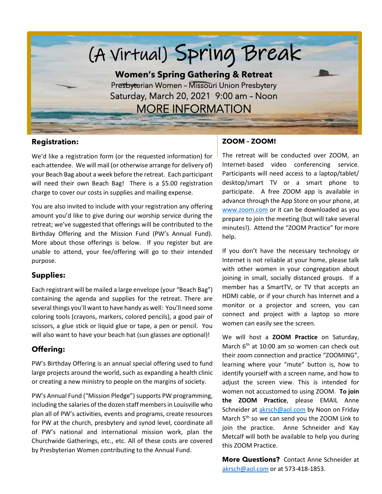

#### **Registration:**

We'd like a registration form (or the requested information) for each attendee. We will mail (or otherwise arrange for delivery of) your Beach Bag about a week before the retreat. Each participant will need their own Beach Bag! There is a \$5.00 registration charge to cover our costs in supplies and mailing expense.

You are also invited to include with your registration any offering amount you'd like to give during our worship service during the retreat; we've suggested that offerings will be contributed to the Birthday Offering and the Mission Fund (PW's Annual Fund). More about those offerings is below. If you register but are unable to attend, your fee/offering will go to their intended purpose.

#### **Supplies:**

Each registrant will be mailed a large envelope (your "Beach Bag") containing the agenda and supplies for the retreat. There are several things you'll want to have handy as well: You'll need some coloring tools (crayons, markers, colored pencils), a good pair of scissors, a glue stick or liquid glue or tape, a pen or pencil. You will also want to have your beach hat (sun glasses are optional)!

#### **Offering:**

PW's Birthday Offering is an annual special offering used to fund large projects around the world, such as expanding a health clinic or creating a new ministry to people on the margins of society.

PW's Annual Fund ("Mission Pledge") supports PW programming, including the salaries of the dozen staff members in Louisville who plan all of PW's activities, events and programs, create resources for PW at the church, presbytery and synod level, coordinate all of PW's national and international mission work, plan the Churchwide Gatherings, etc., etc. All of these costs are covered by Presbyterian Women contributing to the Annual Fund.

#### **ZOOM – ZOOM!**

The retreat will be conducted over ZOOM, an Internet-based video conferencing service. Participants will need access to a laptop/tablet/ desktop/smart TV or a smart phone to participate. A free ZOOM app is available in advance through the App Store on your phone, at [www.zoom.com](http://www.zoom.com/) or it can be downloaded as you prepare to join the meeting (but will take several minutes!). Attend the "ZOOM Practice" for more help.

If you don't have the necessary technology or Internet is not reliable at your home, please talk with other women in your congregation about joining in small, socially distanced groups. If a member has a SmartTV, or TV that accepts an HDMI cable, or if your church has Internet and a monitor or a projector and screen, you can connect and project with a laptop so more women can easily see the screen.

We will host a **ZOOM Practice** on Saturday, March  $6<sup>th</sup>$  at 10:00 am so women can check out their zoom connection and practice "ZOOMING", learning where your "mute" button is, how to identify yourself with a screen name, and how to adjust the screen view. This is intended for women not accustomed to using ZOOM. **To join the ZOOM Practice**, please EMAIL Anne Schneider at [akrsch@aol.com](mailto:akrsch@aol.com) by Noon on Friday March  $5<sup>th</sup>$  so we can send you the ZOOM Link to join the practice. Anne Schneider and Kay Metcalf will both be available to help you during this ZOOM Practice.

**More Questions?** Contact Anne Schneider at [akrsch@aol.com](mailto:akrsch@aol.com) or at 573-418-1853.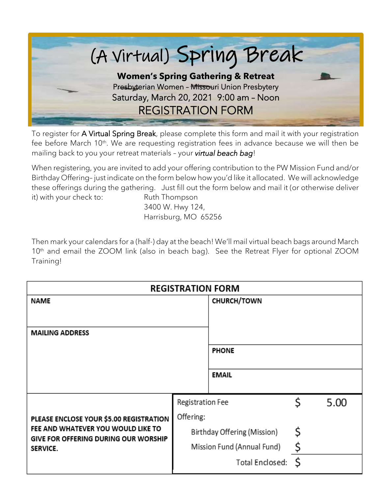

To register for A Virtual Spring Break, please complete this form and mail it with your registration fee before March 10<sup>th</sup>. We are requesting registration fees in advance because we will then be mailing back to you your retreat materials – your *virtual beach bag*!

When registering, you are invited to add your offering contribution to the PW Mission Fund and/or Birthday Offering– just indicate on the form below how you'd like it allocated. We will acknowledge these offerings during the gathering. Just fill out the form below and mail it (or otherwise deliver it) with your check to: Ruth Thompson

3400 W. Hwy 124, Harrisburg, MO 65256

Then mark your calendars for a (half-) day at the beach! We'll mail virtual beach bags around March 10<sup>th</sup> and email the ZOOM link (also in beach bag). See the Retreat Flyer for optional ZOOM Training!

| <b>REGISTRATION FORM</b>                                                                                                                        |                             |                    |    |      |  |
|-------------------------------------------------------------------------------------------------------------------------------------------------|-----------------------------|--------------------|----|------|--|
| NAME                                                                                                                                            |                             | <b>CHURCH/TOWN</b> |    |      |  |
|                                                                                                                                                 |                             |                    |    |      |  |
| <b>MAILING ADDRESS</b>                                                                                                                          |                             |                    |    |      |  |
|                                                                                                                                                 |                             | <b>PHONE</b>       |    |      |  |
|                                                                                                                                                 |                             | <b>EMAIL</b>       |    |      |  |
| PLEASE ENCLOSE YOUR \$5.00 REGISTRATION<br>FEE AND WHATEVER YOU WOULD LIKE TO<br><b>GIVE FOR OFFERING DURING OUR WORSHIP</b><br><b>SERVICE.</b> | Registration Fee            |                    | Ś  | 5.00 |  |
|                                                                                                                                                 | Offering:                   |                    |    |      |  |
|                                                                                                                                                 | Birthday Offering (Mission) |                    | \$ |      |  |
|                                                                                                                                                 | Mission Fund (Annual Fund)  |                    | \$ |      |  |
|                                                                                                                                                 |                             | Total Enclosed:    | \$ |      |  |